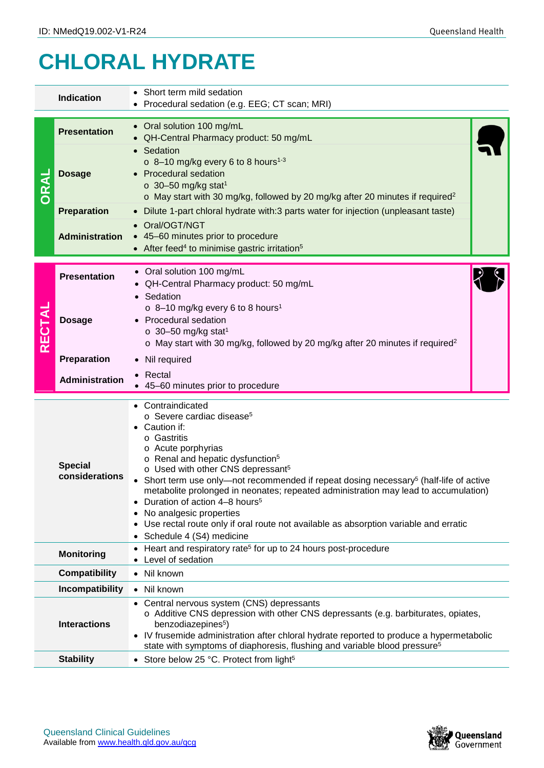## **CHLORAL HYDRATE**

| <b>Indication</b>                                     |                        | • Short term mild sedation<br>Procedural sedation (e.g. EEG; CT scan; MRI)                                                                                                                                                                                                                                                                                                                                                                                                                                                                                                                                         |  |  |  |  |  |
|-------------------------------------------------------|------------------------|--------------------------------------------------------------------------------------------------------------------------------------------------------------------------------------------------------------------------------------------------------------------------------------------------------------------------------------------------------------------------------------------------------------------------------------------------------------------------------------------------------------------------------------------------------------------------------------------------------------------|--|--|--|--|--|
| ORAI                                                  | <b>Presentation</b>    | • Oral solution 100 mg/mL<br>QH-Central Pharmacy product: 50 mg/mL<br>Sedation<br>o 8-10 mg/kg every 6 to 8 hours <sup>1-3</sup><br>• Procedural sedation<br>$\circ$ 30-50 mg/kg stat <sup>1</sup><br>o May start with 30 mg/kg, followed by 20 mg/kg after 20 minutes if required <sup>2</sup><br>• Dilute 1-part chloral hydrate with:3 parts water for injection (unpleasant taste)                                                                                                                                                                                                                             |  |  |  |  |  |
|                                                       | <b>Dosage</b>          |                                                                                                                                                                                                                                                                                                                                                                                                                                                                                                                                                                                                                    |  |  |  |  |  |
|                                                       | <b>Preparation</b>     |                                                                                                                                                                                                                                                                                                                                                                                                                                                                                                                                                                                                                    |  |  |  |  |  |
|                                                       | <b>Administration</b>  | • Oral/OGT/NGT<br>• 45-60 minutes prior to procedure<br>• After feed <sup>4</sup> to minimise gastric irritation <sup>5</sup>                                                                                                                                                                                                                                                                                                                                                                                                                                                                                      |  |  |  |  |  |
| <b>RECTAL</b>                                         | <b>Presentation</b>    | • Oral solution 100 mg/mL<br>QH-Central Pharmacy product: 50 mg/mL<br>• Sedation                                                                                                                                                                                                                                                                                                                                                                                                                                                                                                                                   |  |  |  |  |  |
|                                                       | <b>Dosage</b>          | $\circ$ 8-10 mg/kg every 6 to 8 hours <sup>1</sup><br><b>Procedural sedation</b><br>$\circ$ 30-50 mg/kg stat <sup>1</sup><br>o May start with 30 mg/kg, followed by 20 mg/kg after 20 minutes if required <sup>2</sup>                                                                                                                                                                                                                                                                                                                                                                                             |  |  |  |  |  |
|                                                       | Preparation            | • Nil required                                                                                                                                                                                                                                                                                                                                                                                                                                                                                                                                                                                                     |  |  |  |  |  |
|                                                       | Administration         | Rectal<br>45-60 minutes prior to procedure                                                                                                                                                                                                                                                                                                                                                                                                                                                                                                                                                                         |  |  |  |  |  |
| <b>Special</b><br>considerations                      |                        | • Contraindicated<br>o Severe cardiac disease <sup>5</sup><br>• Caution if:<br>o Gastritis<br>o Acute porphyrias<br>o Renal and hepatic dysfunction <sup>5</sup><br>o Used with other CNS depressant <sup>5</sup><br>• Short term use only—not recommended if repeat dosing necessary <sup>5</sup> (half-life of active<br>metabolite prolonged in neonates; repeated administration may lead to accumulation)<br>• Duration of action 4-8 hours <sup>5</sup><br>• No analgesic properties<br>• Use rectal route only if oral route not available as absorption variable and erratic<br>• Schedule 4 (S4) medicine |  |  |  |  |  |
|                                                       | <b>Monitoring</b>      | • Heart and respiratory rate <sup>5</sup> for up to 24 hours post-procedure<br>• Level of sedation                                                                                                                                                                                                                                                                                                                                                                                                                                                                                                                 |  |  |  |  |  |
|                                                       | <b>Compatibility</b>   | • Nil known                                                                                                                                                                                                                                                                                                                                                                                                                                                                                                                                                                                                        |  |  |  |  |  |
|                                                       | <b>Incompatibility</b> | • Nil known                                                                                                                                                                                                                                                                                                                                                                                                                                                                                                                                                                                                        |  |  |  |  |  |
| <b>Interactions</b><br>benzodiazepines <sup>5</sup> ) |                        | • Central nervous system (CNS) depressants<br>$\circ$ Additive CNS depression with other CNS depressants (e.g. barbiturates, opiates,<br>• IV frusemide administration after chloral hydrate reported to produce a hypermetabolic<br>state with symptoms of diaphoresis, flushing and variable blood pressure <sup>5</sup>                                                                                                                                                                                                                                                                                         |  |  |  |  |  |
|                                                       | <b>Stability</b>       | • Store below 25 °C. Protect from light <sup>5</sup>                                                                                                                                                                                                                                                                                                                                                                                                                                                                                                                                                               |  |  |  |  |  |